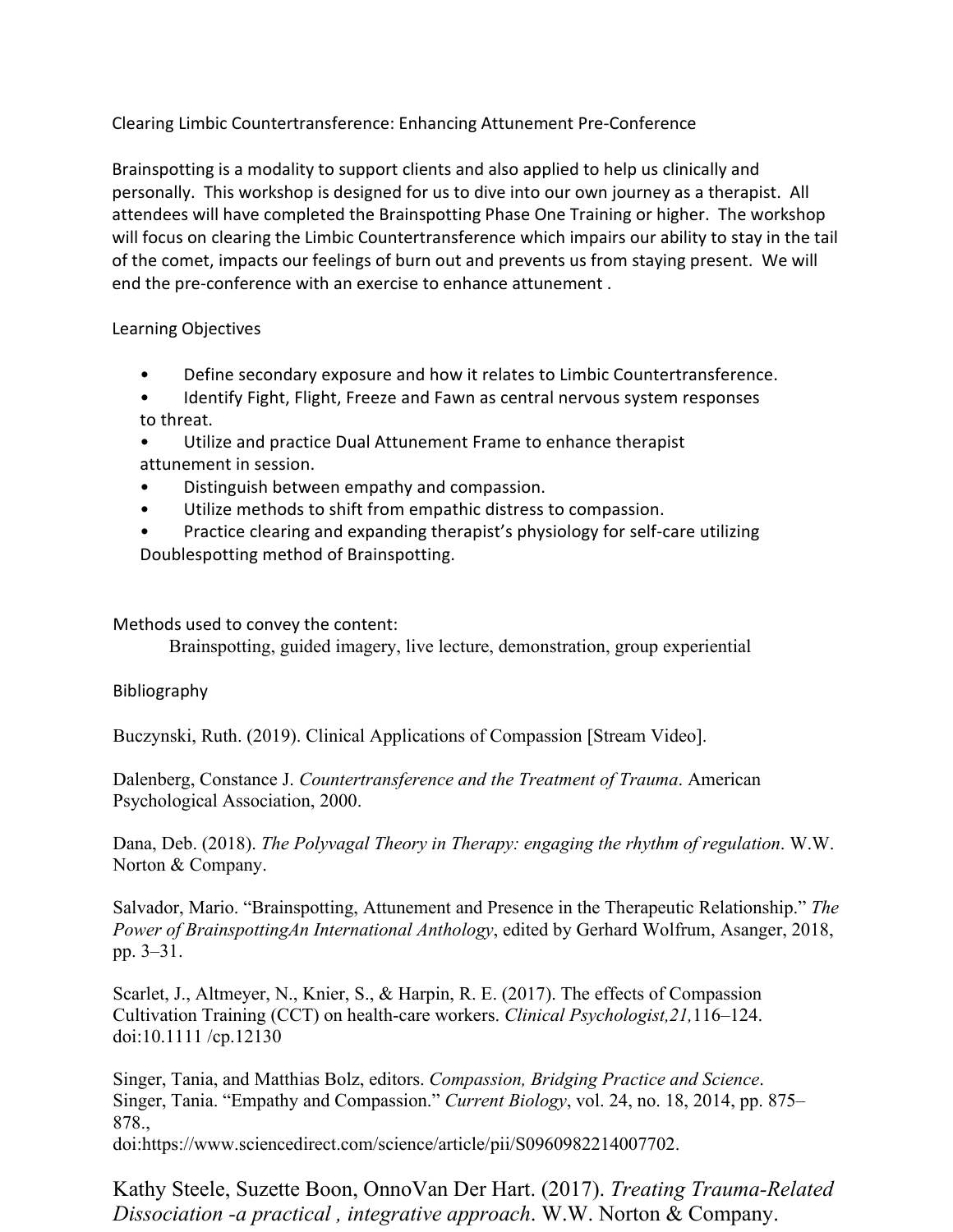Clearing Limbic Countertransference: Enhancing Attunement Pre-Conference

Brainspotting is a modality to support clients and also applied to help us clinically and personally. This workshop is designed for us to dive into our own journey as a therapist. All attendees will have completed the Brainspotting Phase One Training or higher. The workshop will focus on clearing the Limbic Countertransference which impairs our ability to stay in the tail of the comet, impacts our feelings of burn out and prevents us from staying present. We will end the pre-conference with an exercise to enhance attunement .

## Learning Objectives

- Define secondary exposure and how it relates to Limbic Countertransference.
- Identify Fight, Flight, Freeze and Fawn as central nervous system responses to threat.
- Utilize and practice Dual Attunement Frame to enhance therapist attunement in session.
- Distinguish between empathy and compassion.
- Utilize methods to shift from empathic distress to compassion.
- Practice clearing and expanding therapist's physiology for self-care utilizing Doublespotting method of Brainspotting.

## Methods used to convey the content:

Brainspotting, guided imagery, live lecture, demonstration, group experiential

## Bibliography

Buczynski, Ruth. (2019). Clinical Applications of Compassion [Stream Video].

Dalenberg, Constance J. *Countertransference and the Treatment of Trauma*. American Psychological Association, 2000.

Dana, Deb. (2018). *The Polyvagal Theory in Therapy: engaging the rhythm of regulation*. W.W. Norton & Company.

Salvador, Mario. "Brainspotting, Attunement and Presence in the Therapeutic Relationship." *The Power of BrainspottingAn International Anthology*, edited by Gerhard Wolfrum, Asanger, 2018, pp. 3–31.

Scarlet, J., Altmeyer, N., Knier, S., & Harpin, R. E. (2017). The effects of Compassion Cultivation Training (CCT) on health-care workers. *Clinical Psychologist,21,*116–124. doi:10.1111 /cp.12130

Singer, Tania, and Matthias Bolz, editors. *Compassion, Bridging Practice and Science*. Singer, Tania. "Empathy and Compassion." *Current Biology*, vol. 24, no. 18, 2014, pp. 875– 878.,

doi:https://www.sciencedirect.com/science/article/pii/S0960982214007702.

Kathy Steele, Suzette Boon, OnnoVan Der Hart. (2017). *Treating Trauma-Related Dissociation -a practical , integrative approach*. W.W. Norton & Company.